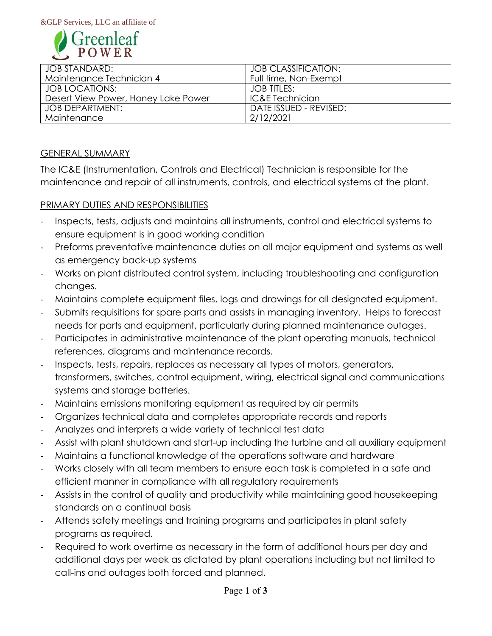

| $\Box$ OB STANDARD:<br>Maintenance Technician 4 | <b>JOB CLASSIFICATION:</b><br>Full time, Non-Exempt |
|-------------------------------------------------|-----------------------------------------------------|
| <b>JOB LOCATIONS:</b>                           | JOB TITLES:                                         |
| Desert View Power, Honey Lake Power             | IC&E Technician                                     |
| <b>JOB DEPARTMENT:</b>                          | DATE ISSUED - REVISED:                              |
| Maintenance                                     | 2/12/2021                                           |

## GENERAL SUMMARY

The IC&E (Instrumentation, Controls and Electrical) Technician is responsible for the maintenance and repair of all instruments, controls, and electrical systems at the plant.

### PRIMARY DUTIES AND RESPONSIBILITIES

- Inspects, tests, adjusts and maintains all instruments, control and electrical systems to ensure equipment is in good working condition
- Preforms preventative maintenance duties on all major equipment and systems as well as emergency back-up systems
- Works on plant distributed control system, including troubleshooting and configuration changes.
- Maintains complete equipment files, logs and drawings for all designated equipment.
- Submits requisitions for spare parts and assists in managing inventory. Helps to forecast needs for parts and equipment, particularly during planned maintenance outages.
- Participates in administrative maintenance of the plant operating manuals, technical references, diagrams and maintenance records.
- Inspects, tests, repairs, replaces as necessary all types of motors, generators, transformers, switches, control equipment, wiring, electrical signal and communications systems and storage batteries.
- Maintains emissions monitoring equipment as required by air permits
- Organizes technical data and completes appropriate records and reports
- Analyzes and interprets a wide variety of technical test data
- Assist with plant shutdown and start-up including the turbine and all auxiliary equipment
- Maintains a functional knowledge of the operations software and hardware
- Works closely with all team members to ensure each task is completed in a safe and efficient manner in compliance with all regulatory requirements
- Assists in the control of quality and productivity while maintaining good housekeeping standards on a continual basis
- Attends safety meetings and training programs and participates in plant safety programs as required.
- Required to work overtime as necessary in the form of additional hours per day and additional days per week as dictated by plant operations including but not limited to call-ins and outages both forced and planned.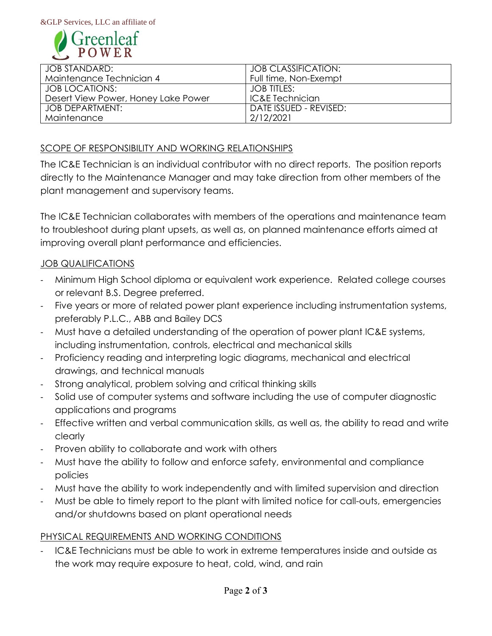

| JOB STANDARD:                       | <b>JOB CLASSIFICATION:</b> |
|-------------------------------------|----------------------------|
| Maintenance Technician 4            | Full time, Non-Exempt      |
| <b>JOB LOCATIONS:</b>               | JOB TITLES:                |
| Desert View Power, Honey Lake Power | l IC&E Technician          |
| <b>JOB DEPARTMENT:</b>              | DATE ISSUED - REVISED:     |
| Maintenance                         | 2/12/2021                  |

# SCOPE OF RESPONSIBILITY AND WORKING RELATIONSHIPS

The IC&E Technician is an individual contributor with no direct reports. The position reports directly to the Maintenance Manager and may take direction from other members of the plant management and supervisory teams.

The IC&E Technician collaborates with members of the operations and maintenance team to troubleshoot during plant upsets, as well as, on planned maintenance efforts aimed at improving overall plant performance and efficiencies.

## JOB QUALIFICATIONS

- Minimum High School diploma or equivalent work experience. Related college courses or relevant B.S. Degree preferred.
- Five years or more of related power plant experience including instrumentation systems, preferably P.L.C., ABB and Bailey DCS
- Must have a detailed understanding of the operation of power plant IC&E systems, including instrumentation, controls, electrical and mechanical skills
- Proficiency reading and interpreting logic diagrams, mechanical and electrical drawings, and technical manuals
- Strong analytical, problem solving and critical thinking skills
- Solid use of computer systems and software including the use of computer diagnostic applications and programs
- Effective written and verbal communication skills, as well as, the ability to read and write clearly
- Proven ability to collaborate and work with others
- Must have the ability to follow and enforce safety, environmental and compliance policies
- Must have the ability to work independently and with limited supervision and direction
- Must be able to timely report to the plant with limited notice for call-outs, emergencies and/or shutdowns based on plant operational needs

## PHYSICAL REQUIREMENTS AND WORKING CONDITIONS

- IC&E Technicians must be able to work in extreme temperatures inside and outside as the work may require exposure to heat, cold, wind, and rain